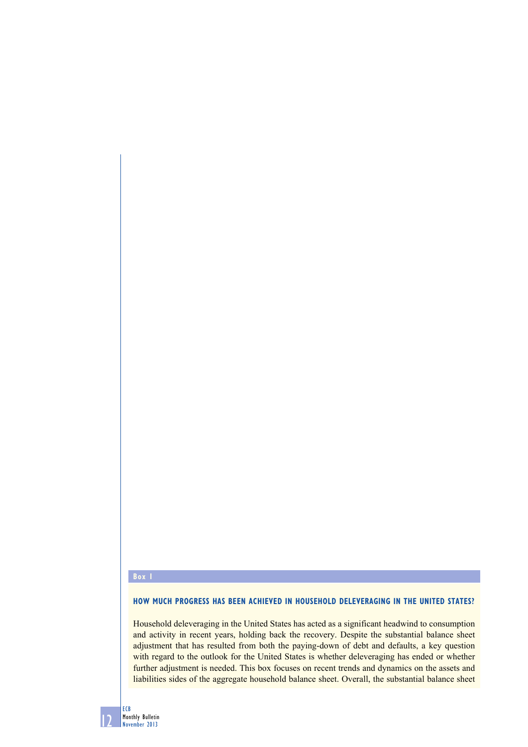## **Box 1**

## **How much progress has been achieved in household deleveraging IN The united states?**

Household deleveraging in the United States has acted as a significant headwind to consumption and activity in recent years, holding back the recovery. Despite the substantial balance sheet adjustment that has resulted from both the paying-down of debt and defaults, a key question with regard to the outlook for the United States is whether deleveraging has ended or whether further adjustment is needed. This box focuses on recent trends and dynamics on the assets and liabilities sides of the aggregate household balance sheet. Overall, the substantial balance sheet

12 ECB Monthly Bulletin November 2013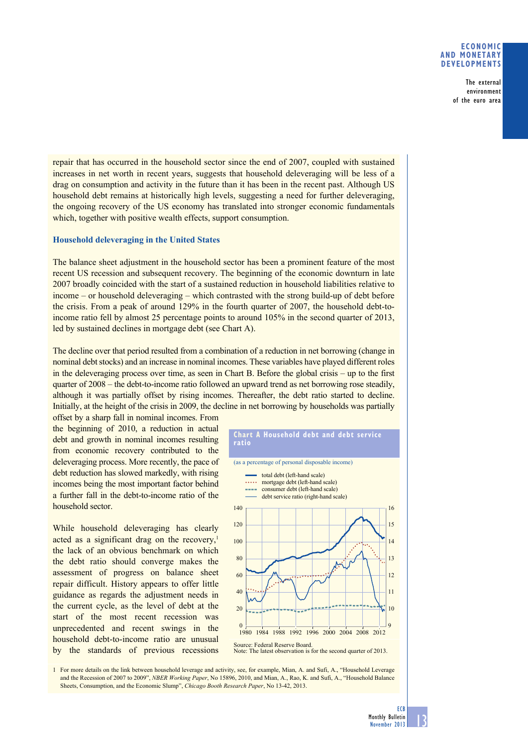### **eConomiC and monetary develoPments**

The external environment of the euro area

repair that has occurred in the household sector since the end of 2007, coupled with sustained increases in net worth in recent years, suggests that household deleveraging will be less of a drag on consumption and activity in the future than it has been in the recent past. Although US household debt remains at historically high levels, suggesting a need for further deleveraging, the ongoing recovery of the US economy has translated into stronger economic fundamentals which, together with positive wealth effects, support consumption.

## **Household deleveraging in the United States**

The balance sheet adjustment in the household sector has been a prominent feature of the most recent US recession and subsequent recovery. The beginning of the economic downturn in late 2007 broadly coincided with the start of a sustained reduction in household liabilities relative to income – or household deleveraging – which contrasted with the strong build-up of debt before the crisis. From a peak of around  $129\%$  in the fourth quarter of 2007, the household debt-toincome ratio fell by almost 25 percentage points to around  $105\%$  in the second quarter of 2013, led by sustained declines in mortgage debt (see Chart A).

The decline over that period resulted from a combination of a reduction in net borrowing (change in nominal debt stocks) and an increase in nominal incomes. These variables have played different roles in the deleveraging process over time, as seen in Chart B. Before the global crisis – up to the first quarter of 2008 – the debt-to-income ratio followed an upward trend as net borrowing rose steadily, although it was partially offset by rising incomes. Thereafter, the debt ratio started to decline. Initially, at the height of the crisis in 2009, the decline in net borrowing by households was partially

1 For more details on the link between household leverage and activity, see, for example, Mian, A. and Sufi, A., "Household Leverage and the Recession of 2007 to 2009", *NBER Working Paper*, No 15896, 2010, and Mian, A., Rao, K. and Sufi, A., "Household Balance"

 $\theta$ 20

Source: Federal Reserve Board.

Sheets, Consumption, and the Economic Slump", *Chicago Booth Research Paper*, No 13-42, 2013.

offset by a sharp fall in nominal incomes. From the beginning of  $2010$ , a reduction in actual debt and growth in nominal incomes resulting from economic recovery contributed to the deleveraging process. More recently, the pace of debt reduction has slowed markedly, with rising incomes being the most important factor behind a further fall in the debt-to-income ratio of the household sector.

While household deleveraging has clearly acted as a significant drag on the recovery, $\frac{1}{2}$ the lack of an obvious benchmark on which the debt ratio should converge makes the assessment of progress on balance sheet repair difficult. History appears to offer little guidance as regards the adjustment needs in the current cycle, as the level of debt at the start of the most recent recession was unprecedented and recent swings in the household debt-to-income ratio are unusual by the standards of previous recessions



1980 1984 1988 1992 1996 2000 2004 2008 2012

Note: The latest observation is for the second quarter of 2013.

**Chart a household debt and debt service** 



9

10

**ECB**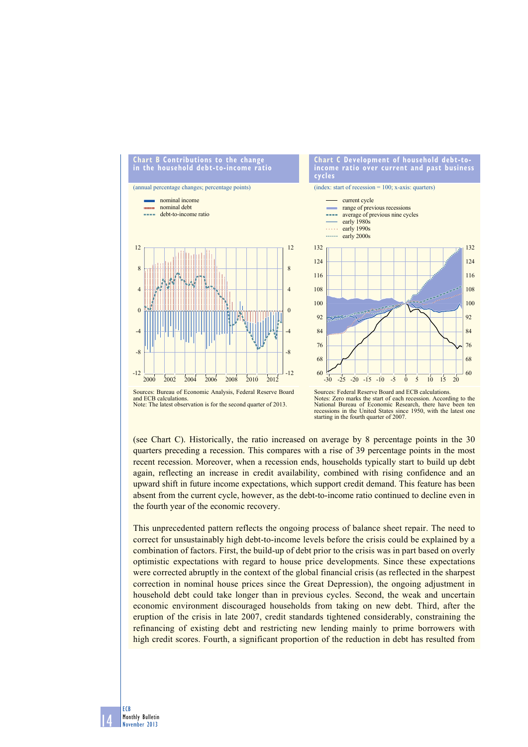

#### and ECB calculations. Note: The latest observation is for the second quarter of 2013.

Notes: Zero marks the start of each recession. According to the National Bureau of Economic Research, there have been ten<br>recessions in the United States since 1950, with the latest one starting in the fourth quarter of 2007.

(see Chart C). Historically, the ratio increased on average by 8 percentage points in the 30 quarters preceding a recession. This compares with a rise of 39 percentage points in the most recent recession. Moreover, when a recession ends, households typically start to build up debt again, reflecting an increase in credit availability, combined with rising confidence and an upward shift in future income expectations, which support credit demand. This feature has been absent from the current cycle, however, as the debt-to-income ratio continued to decline even in the fourth year of the economic recovery.

This unprecedented pattern reflects the ongoing process of balance sheet repair. The need to correct for unsustainably high debt-to-income levels before the crisis could be explained by a combination of factors. First, the build-up of debt prior to the crisis was in part based on overly optimistic expectations with regard to house price developments. Since these expectations were corrected abruptly in the context of the global financial crisis (as reflected in the sharpest correction in nominal house prices since the Great Depression), the ongoing adjustment in household debt could take longer than in previous cycles. Second, the weak and uncertain economic environment discouraged households from taking on new debt. Third, after the eruption of the crisis in late 2007, credit standards tightened considerably, constraining the refinancing of existing debt and restricting new lending mainly to prime borrowers with high credit scores. Fourth, a significant proportion of the reduction in debt has resulted from

14 ECB Monthly Bulletin November 2013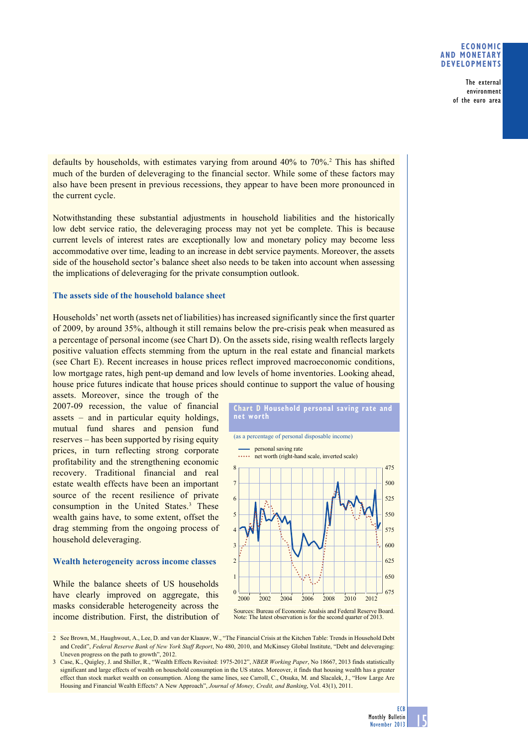### **eConomiC and monetary develoPments**

The external environment of the euro area

defaults by households, with estimates varying from around 40% to 70%.<sup>2</sup> This has shifted much of the burden of deleveraging to the financial sector. While some of these factors may also have been present in previous recessions, they appear to have been more pronounced in the current cycle.

Notwithstanding these substantial adjustments in household liabilities and the historically low debt service ratio, the deleveraging process may not yet be complete. This is because current levels of interest rates are exceptionally low and monetary policy may become less accommodative over time, leading to an increase in debt service payments. Moreover, the assets side of the household sector's balance sheet also needs to be taken into account when assessing the implications of deleveraging for the private consumption outlook.

#### **The assets side of the household balance sheet**

Households' net worth (assets net of liabilities) has increased significantly since the first quarter of 2009, by around 35%, although it still remains below the pre-crisis peak when measured as a percentage of personal income (see Chart D). On the assets side, rising wealth reflects largely positive valuation effects stemming from the upturn in the real estate and financial markets (see Chart E). Recent increases in house prices reflect improved macroeconomic conditions, low mortgage rates, high pent-up demand and low levels of home inventories. Looking ahead, house price futures indicate that house prices should continue to support the value of housing

assets. Moreover, since the trough of the 2007-09 recession, the value of financial assets  $-$  and in particular equity holdings, mutual fund shares and pension fund reserves – has been supported by rising equity prices, in turn reflecting strong corporate profitability and the strengthening economic recovery. Traditional financial and real estate wealth effects have been an important source of the recent resilience of private consumption in the United States.<sup>3</sup> These wealth gains have, to some extent, offset the drag stemming from the ongoing process of household deleveraging.

## **Wealth heterogeneity across income classes**

While the balance sheets of US households have clearly improved on aggregate, this masks considerable heterogeneity across the income distribution. First, the distribution of



2 See Brown, M., Haughwout, A., Lee, D. and van der Klaauw, W., "The Financial Crisis at the Kitchen Table: Trends in Household Debt and Credit", *Federal Reserve Bank of New York Staff Report*, No 480, 2010, and McKinsey Global Institute, "Debt and deleveraging: Uneven progress on the path to growth", 2012.

3 Case, K., Quigley, J. and Shiller, R., "Wealth Effects Revisited: 1975-2012", *NBER Working Paper*, No 18667, 2013 finds statistically significant and large effects of wealth on household consumption in the US states. Moreover, it finds that housing wealth has a greater effect than stock market wealth on consumption. Along the same lines, see Carroll, C., Otsuka, M. and Slacalek, J., "How Large Are Housing and Financial Wealth Effects? A New Approach", Journal of Money, Credit, and Banking, Vol. 43(1), 2011.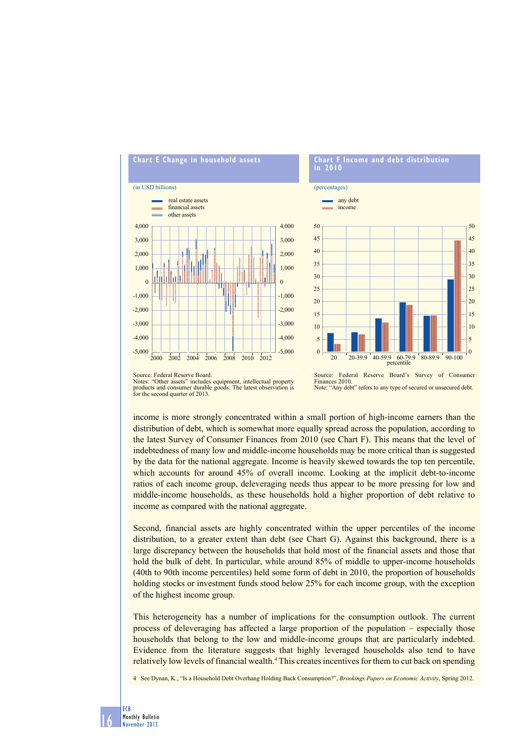

# **Chart F income and debt distribution in 2010**

(percentages)



Notes: "Other assets" includes equipment, intellectual property products and consumer durable goods. The latest observation is products and consumer and for the second quarter of 2013.

Source: Federal Reserve Board's Survey of Consumer Finances 2010. Note: "Any debt" refers to any type of secured or unsecured debt.

income is more strongly concentrated within a small portion of high-income earners than the distribution of debt, which is somewhat more equally spread across the population, according to

the latest Survey of Consumer Finances from 2010 (see Chart F). This means that the level of indebtedness of many low and middle-income households may be more critical than is suggested by the data for the national aggregate. Income is heavily skewed towards the top ten percentile, which accounts for around  $45\%$  of overall income. Looking at the implicit debt-to-income ratios of each income group, deleveraging needs thus appear to be more pressing for low and middle-income households, as these households hold a higher proportion of debt relative to income as compared with the national aggregate.

Second, financial assets are highly concentrated within the upper percentiles of the income distribution, to a greater extent than debt (see Chart G). Against this background, there is a large discrepancy between the households that hold most of the financial assets and those that hold the bulk of debt. In particular, while around 85% of middle to upper-income households (40th to 90th income percentiles) held some form of debt in 2010, the proportion of households holding stocks or investment funds stood below 25% for each income group, with the exception of the highest income group.

This heterogeneity has a number of implications for the consumption outlook. The current process of deleveraging has affected a large proportion of the population – especially those households that belong to the low and middle-income groups that are particularly indebted. Evidence from the literature suggests that highly leveraged households also tend to have relatively low levels of financial wealth.<sup>4</sup> This creates incentives for them to cut back on spending

4 See Dynan, K., "Is a Household Debt Overhang Holding Back Consumption?", *Brookings Papers on Economic Activity*, Spring 2012.